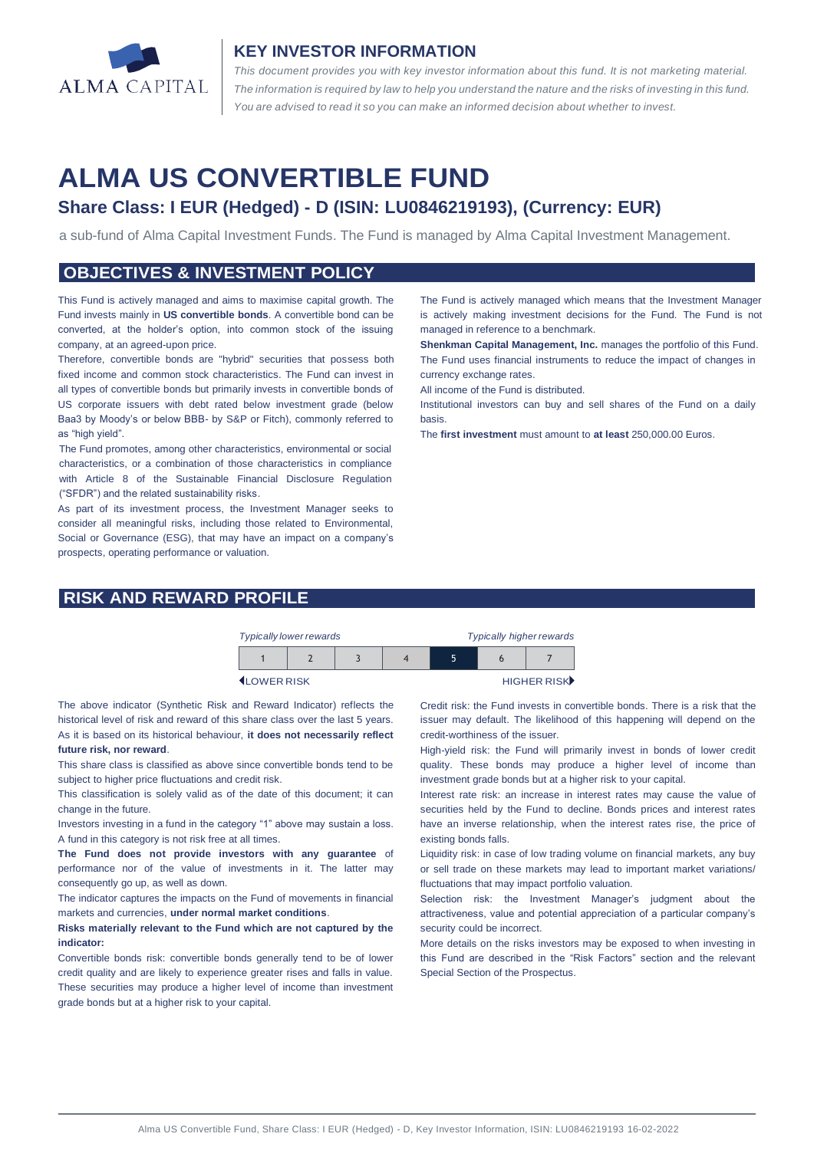

### **KEY INVESTOR INFORMATION**

*This document provides you with key investor information about this fund. It is not marketing material.*  The information is required by law to help you understand the nature and the risks of investing in this fund. *You are advised to read it so you can make an informed decision about whether to invest.*

# **ALMA US CONVERTIBLE FUND**

# **Share Class: I EUR (Hedged) - D (ISIN: LU0846219193), (Currency: EUR)**

a sub-fund of Alma Capital Investment Funds. The Fund is managed by Alma Capital Investment Management.

#### **OBJECTIVES & INVESTMENT POLICY**

This Fund is actively managed and aims to maximise capital growth. The Fund invests mainly in **US convertible bonds**. A convertible bond can be converted, at the holder's option, into common stock of the issuing company, at an agreed-upon price.

Therefore, convertible bonds are "hybrid" securities that possess both fixed income and common stock characteristics. The Fund can invest in all types of convertible bonds but primarily invests in convertible bonds of US corporate issuers with debt rated below investment grade (below Baa3 by Moody's or below BBB- by S&P or Fitch), commonly referred to as "high yield".

The Fund promotes, among other characteristics, environmental or social characteristics, or a combination of those characteristics in compliance with Article 8 of the Sustainable Financial Disclosure Regulation ("SFDR") and the related sustainability risks.

As part of its investment process, the Investment Manager seeks to consider all meaningful risks, including those related to Environmental, Social or Governance (ESG), that may have an impact on a company's prospects, operating performance or valuation.

# **RISK AND REWARD PROFILE**

The Fund is actively managed which means that the Investment Manager is actively making investment decisions for the Fund. The Fund is not managed in reference to a benchmark.

**Shenkman Capital Management, Inc.** manages the portfolio of this Fund. The Fund uses financial instruments to reduce the impact of changes in currency exchange rates.

All income of the Fund is distributed.

Institutional investors can buy and sell shares of the Fund on a daily basis.

The **first investment** must amount to **at least** 250,000.00 Euros.

| <b>Typically lower rewards</b> |  |  |  | <b>Typically higher rewards</b> |  |  |  |
|--------------------------------|--|--|--|---------------------------------|--|--|--|
|                                |  |  |  |                                 |  |  |  |

**ILOWER RISK HIGHER RISK** 

The above indicator (Synthetic Risk and Reward Indicator) reflects the historical level of risk and reward of this share class over the last 5 years. As it is based on its historical behaviour, **it does not necessarily reflect future risk, nor reward**.

This share class is classified as above since convertible bonds tend to be subject to higher price fluctuations and credit risk.

This classification is solely valid as of the date of this document; it can change in the future.

Investors investing in a fund in the category "1" above may sustain a loss. A fund in this category is not risk free at all times.

**The Fund does not provide investors with any guarantee** of performance nor of the value of investments in it. The latter may consequently go up, as well as down.

The indicator captures the impacts on the Fund of movements in financial markets and currencies, **under normal market conditions**.

#### **Risks materially relevant to the Fund which are not captured by the indicator:**

Convertible bonds risk: convertible bonds generally tend to be of lower credit quality and are likely to experience greater rises and falls in value. These securities may produce a higher level of income than investment grade bonds but at a higher risk to your capital.

Credit risk: the Fund invests in convertible bonds. There is a risk that the issuer may default. The likelihood of this happening will depend on the credit-worthiness of the issuer.

High-yield risk: the Fund will primarily invest in bonds of lower credit quality. These bonds may produce a higher level of income than investment grade bonds but at a higher risk to your capital.

Interest rate risk: an increase in interest rates may cause the value of securities held by the Fund to decline. Bonds prices and interest rates have an inverse relationship, when the interest rates rise, the price of existing bonds falls.

Liquidity risk: in case of low trading volume on financial markets, any buy or sell trade on these markets may lead to important market variations/ fluctuations that may impact portfolio valuation.

Selection risk: the Investment Manager's judgment about the attractiveness, value and potential appreciation of a particular company's security could be incorrect.

More details on the risks investors may be exposed to when investing in this Fund are described in the "Risk Factors" section and the relevant Special Section of the Prospectus.